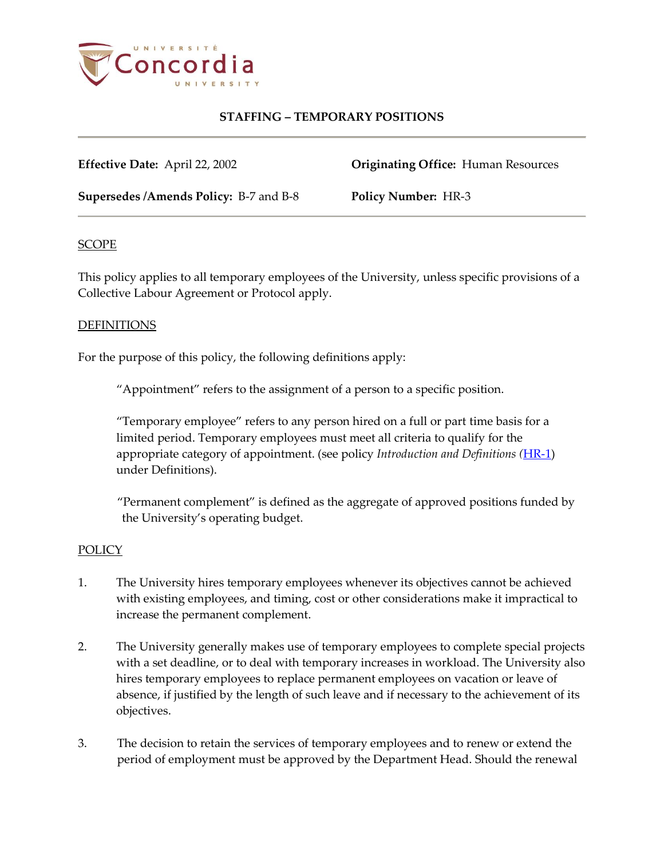

# **STAFFING – TEMPORARY POSITIONS**

**Effective Date:** April 22, 2002 **Originating Office:** Human Resources

**Supersedes /Amends Policy:** B-7 and B-8 **Policy Number:** HR-3

## **SCOPE**

This policy applies to all temporary employees of the University, unless specific provisions of a Collective Labour Agreement or Protocol apply.

## DEFINITIONS

For the purpose of this policy, the following definitions apply:

"Appointment" refers to the assignment of a person to a specific position.

"Temporary employee" refers to any person hired on a full or part time basis for a limited period. Temporary employees must meet all criteria to qualify for the appropriate category of appointment. (see policy *Introduction and Definitions (*[HR-1\)](http://www.concordia.ca/vpirsg/documents/policies/HR-1.pdf) under Definitions).

"Permanent complement" is defined as the aggregate of approved positions funded by the University's operating budget.

#### **POLICY**

- 1. The University hires temporary employees whenever its objectives cannot be achieved with existing employees, and timing, cost or other considerations make it impractical to increase the permanent complement.
- 2. The University generally makes use of temporary employees to complete special projects with a set deadline, or to deal with temporary increases in workload. The University also hires temporary employees to replace permanent employees on vacation or leave of absence, if justified by the length of such leave and if necessary to the achievement of its objectives.
- 3. The decision to retain the services of temporary employees and to renew or extend the period of employment must be approved by the Department Head. Should the renewal